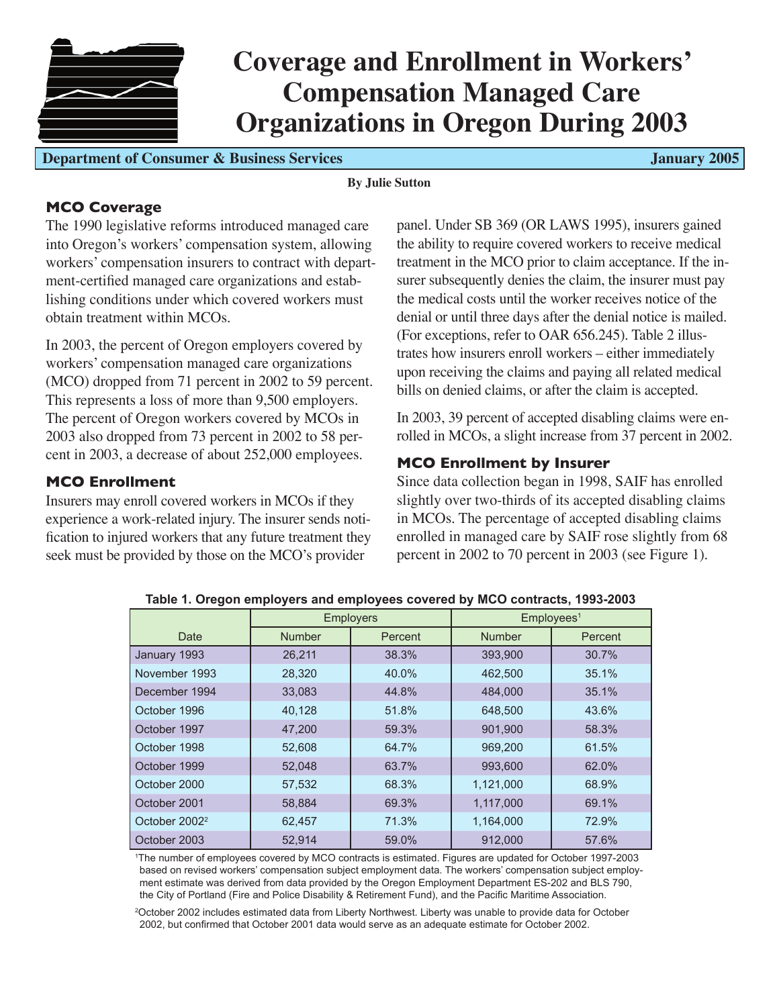

**Department of Consumer & Business Services Accessible 2005** January 2005

#### **By Julie Sutton**

# **MCO Coverage**

The 1990 legislative reforms introduced managed care into Oregon's workers' compensation system, allowing workers' compensation insurers to contract with department-certified managed care organizations and establishing conditions under which covered workers must obtain treatment within MCOs.

In 2003, the percent of Oregon employers covered by workers' compensation managed care organizations (MCO) dropped from 71 percent in 2002 to 59 percent. This represents a loss of more than 9,500 employers. The percent of Oregon workers covered by MCOs in 2003 also dropped from 73 percent in 2002 to 58 percent in 2003, a decrease of about 252,000 employees.

## **MCO Enrollment**

Insurers may enroll covered workers in MCOs if they experience a work-related injury. The insurer sends notification to injured workers that any future treatment they seek must be provided by those on the MCO's provider

panel. Under SB 369 (OR LAWS 1995), insurers gained the ability to require covered workers to receive medical treatment in the MCO prior to claim acceptance. If the insurer subsequently denies the claim, the insurer must pay the medical costs until the worker receives notice of the denial or until three days after the denial notice is mailed. (For exceptions, refer to OAR 656.245). Table 2 illustrates how insurers enroll workers – either immediately upon receiving the claims and paying all related medical bills on denied claims, or after the claim is accepted.

In 2003, 39 percent of accepted disabling claims were enrolled in MCOs, a slight increase from 37 percent in 2002.

# **MCO Enrollment by Insurer**

Since data collection began in 1998, SAIF has enrolled slightly over two-thirds of its accepted disabling claims in MCOs. The percentage of accepted disabling claims enrolled in managed care by SAIF rose slightly from 68 percent in 2002 to 70 percent in 2003 (see Figure 1).

|                           |               | <b>Employers</b> | Emplovees <sup>1</sup> |         |  |  |  |
|---------------------------|---------------|------------------|------------------------|---------|--|--|--|
| Date                      | <b>Number</b> | Percent          | <b>Number</b>          | Percent |  |  |  |
| January 1993              | 26,211        | 38.3%            | 393,900                | 30.7%   |  |  |  |
| November 1993             | 28,320        | 40.0%            | 462,500                | 35.1%   |  |  |  |
| December 1994             | 33,083        | 44.8%            | 484,000                | 35.1%   |  |  |  |
| October 1996              | 40,128        | 51.8%            | 648,500                | 43.6%   |  |  |  |
| October 1997              | 47,200        | 59.3%            | 901,900                | 58.3%   |  |  |  |
| October 1998              | 52,608        | 64.7%            | 969,200                | 61.5%   |  |  |  |
| October 1999              | 52,048        | 63.7%            | 993,600                | 62.0%   |  |  |  |
| October 2000              | 57,532        | 68.3%            | 1,121,000              | 68.9%   |  |  |  |
| October 2001              | 58,884        | 69.3%            | 1,117,000              | 69.1%   |  |  |  |
| October 2002 <sup>2</sup> | 62,457        | 71.3%            | 1,164,000              | 72.9%   |  |  |  |
| October 2003              | 52.914        | 59.0%            | 912.000                | 57.6%   |  |  |  |

**Table 1. Oregon employers and employees covered by MCO contracts, 1993-2003**

1 The number of employees covered by MCO contracts is estimated. Figures are updated for October 1997-2003 based on revised workers' compensation subject employment data. The workers' compensation subject employment estimate was derived from data provided by the Oregon Employment Department ES-202 and BLS 790, the City of Portland (Fire and Police Disability & Retirement Fund), and the Pacific Maritime Association.

2 October 2002 includes estimated data from Liberty Northwest. Liberty was unable to provide data for October 2002, but confirmed that October 2001 data would serve as an adequate estimate for October 2002.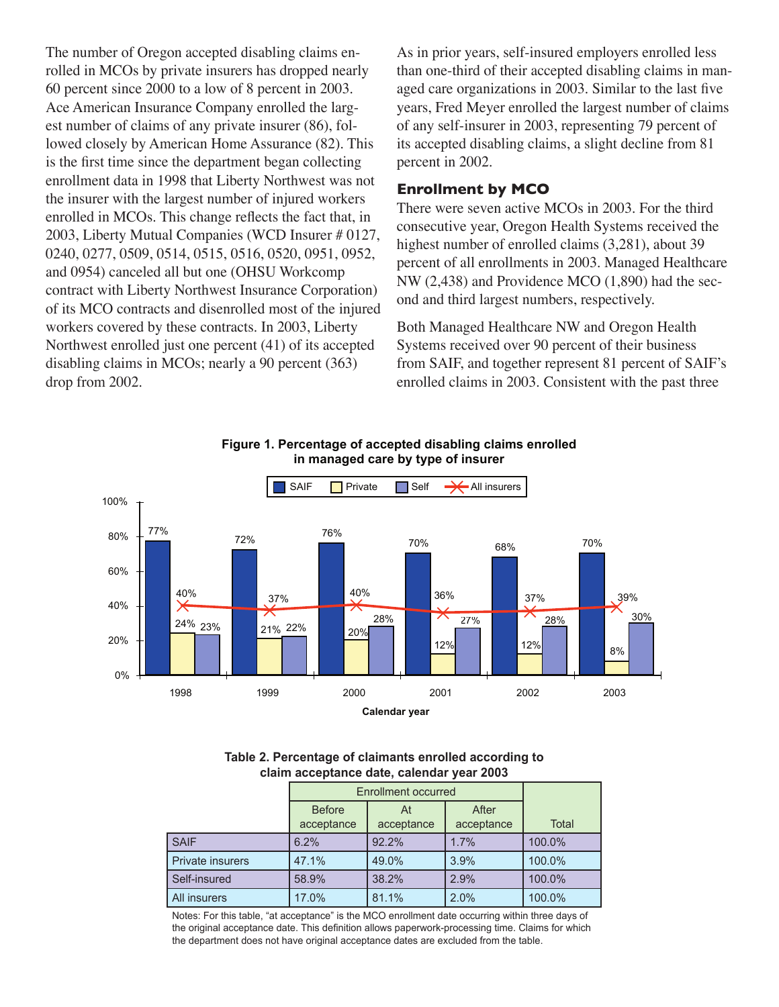The number of Oregon accepted disabling claims enrolled in MCOs by private insurers has dropped nearly 60 percent since 2000 to a low of 8 percent in 2003. Ace American Insurance Company enrolled the largest number of claims of any private insurer (86), followed closely by American Home Assurance (82). This is the first time since the department began collecting enrollment data in 1998 that Liberty Northwest was not the insurer with the largest number of injured workers enrolled in MCOs. This change reflects the fact that, in 2003, Liberty Mutual Companies (WCD Insurer # 0127, 0240, 0277, 0509, 0514, 0515, 0516, 0520, 0951, 0952, and 0954) canceled all but one (OHSU Workcomp contract with Liberty Northwest Insurance Corporation) of its MCO contracts and disenrolled most of the injured workers covered by these contracts. In 2003, Liberty Northwest enrolled just one percent (41) of its accepted disabling claims in MCOs; nearly a 90 percent (363) drop from 2002.

As in prior years, self-insured employers enrolled less than one-third of their accepted disabling claims in managed care organizations in 2003. Similar to the last five years, Fred Meyer enrolled the largest number of claims of any self-insurer in 2003, representing 79 percent of its accepted disabling claims, a slight decline from 81 percent in 2002.

### **Enrollment by MCO**

There were seven active MCOs in 2003. For the third consecutive year, Oregon Health Systems received the highest number of enrolled claims (3,281), about 39 percent of all enrollments in 2003. Managed Healthcare NW (2,438) and Providence MCO (1,890) had the second and third largest numbers, respectively.

Both Managed Healthcare NW and Oregon Health Systems received over 90 percent of their business from SAIF, and together represent 81 percent of SAIF's enrolled claims in 2003. Consistent with the past three



**Figure 1. Percentage of accepted disabling claims enrolled in managed care by type of insurer**

**Table 2. Percentage of claimants enrolled according to claim acceptance date, calendar year 2003**

|                  | Enrollment occurred         |                  |                     |        |
|------------------|-----------------------------|------------------|---------------------|--------|
|                  | <b>Before</b><br>acceptance | At<br>acceptance | After<br>acceptance | Total  |
| <b>SAIF</b>      | 6.2%                        | 92.2%            | 1.7%                | 100.0% |
| Private insurers | 47.1%                       | 49.0%            | 3.9%                | 100.0% |
| Self-insured     | 58.9%                       | 38.2%            | 2.9%                | 100.0% |
| All insurers     | 17.0%                       | 81.1%            | 2.0%                | 100.0% |

Notes: For this table, "at acceptance" is the MCO enrollment date occurring within three days of the original acceptance date. This definition allows paperwork-processing time. Claims for which the department does not have original acceptance dates are excluded from the table.